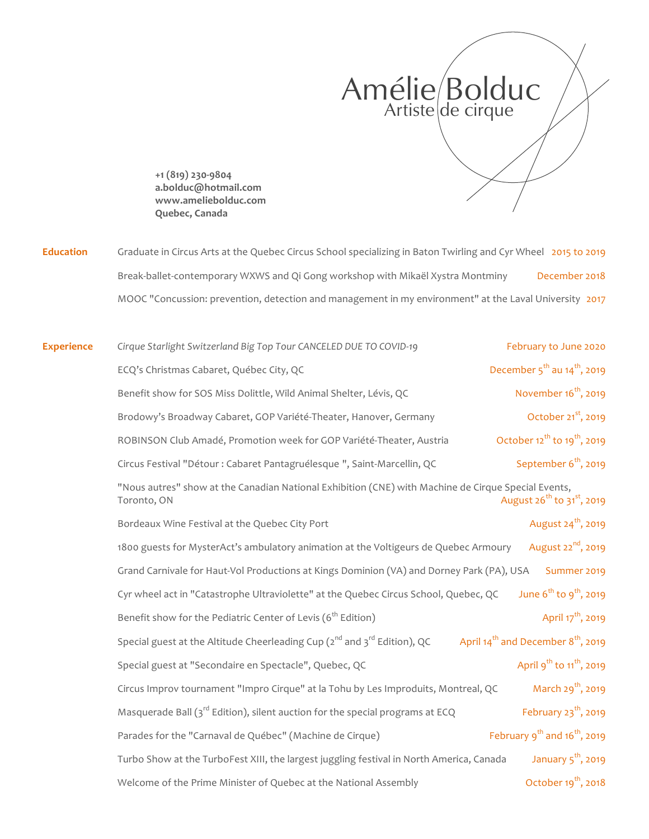

**+1 (819) 230-9804 a.bolduc@hotmail.com www.ameliebolduc.com Quebec, Canada**

Education Graduate in Circus Arts at the Quebec Circus School specializing in Baton Twirling and Cyr Wheel 2015 to 2019 Break-ballet-contemporary WXWS and Qi Gong workshop with Mikaël Xystra Montminy December 2018 MOOC "Concussion: prevention, detection and management in my environment" at the Laval University 2017

| <b>Experience</b> | Cirque Starlight Switzerland Big Top Tour CANCELED DUE TO COVID-19                                                 | February to June 2020                                      |
|-------------------|--------------------------------------------------------------------------------------------------------------------|------------------------------------------------------------|
|                   | ECQ's Christmas Cabaret, Québec City, QC                                                                           | December $5^{\text{th}}$ au $14^{\text{th}}$ , 2019        |
|                   | Benefit show for SOS Miss Dolittle, Wild Animal Shelter, Lévis, QC                                                 | November 16 <sup>th</sup> , 2019                           |
|                   | Brodowy's Broadway Cabaret, GOP Variété-Theater, Hanover, Germany                                                  | October 21 <sup>st</sup> , 2019                            |
|                   | ROBINSON Club Amadé, Promotion week for GOP Variété-Theater, Austria                                               | October $12^{th}$ to $19^{th}$ , 2019                      |
|                   | Circus Festival "Détour : Cabaret Pantagruélesque ", Saint-Marcellin, QC                                           | September 6 <sup>th</sup> , 2019                           |
|                   | "Nous autres" show at the Canadian National Exhibition (CNE) with Machine de Cirque Special Events,<br>Toronto, ON | August 26 <sup>th</sup> to 31 <sup>st</sup> , 2019         |
|                   | Bordeaux Wine Festival at the Quebec City Port                                                                     | August 24 <sup>th</sup> , 2019                             |
|                   | 1800 guests for MysterAct's ambulatory animation at the Voltigeurs de Quebec Armoury                               | August 22 <sup>nd</sup> , 2019                             |
|                   | Grand Carnivale for Haut-Vol Productions at Kings Dominion (VA) and Dorney Park (PA), USA                          | Summer 2019                                                |
|                   | Cyr wheel act in "Catastrophe Ultraviolette" at the Quebec Circus School, Quebec, QC                               | June $6^{th}$ to $9^{th}$ , 2019                           |
|                   | Benefit show for the Pediatric Center of Levis (6 <sup>th</sup> Edition)                                           | April 17 <sup>th</sup> , 2019                              |
|                   | Special guest at the Altitude Cheerleading Cup (2 <sup>nd</sup> and 3 <sup>rd</sup> Edition), QC                   | April 14 <sup>th</sup> and December 8 <sup>th</sup> , 2019 |
|                   | Special guest at "Secondaire en Spectacle", Quebec, QC                                                             | April 9 <sup>th</sup> to 11 <sup>th</sup> , 2019           |
|                   | Circus Improv tournament "Impro Cirque" at la Tohu by Les Improduits, Montreal, QC                                 | March 29 <sup>th</sup> , 2019                              |
|                   | Masquerade Ball ( $3rd$ Edition), silent auction for the special programs at ECQ                                   | February $23^{th}$ , 2019                                  |
|                   | Parades for the "Carnaval de Québec" (Machine de Cirque)                                                           | February $9^{th}$ and $16^{th}$ , 2019                     |
|                   | Turbo Show at the TurboFest XIII, the largest juggling festival in North America, Canada                           | January $5^{\text{th}}$ , 2019                             |
|                   | Welcome of the Prime Minister of Quebec at the National Assembly                                                   | October $19^{th}$ , 2018                                   |